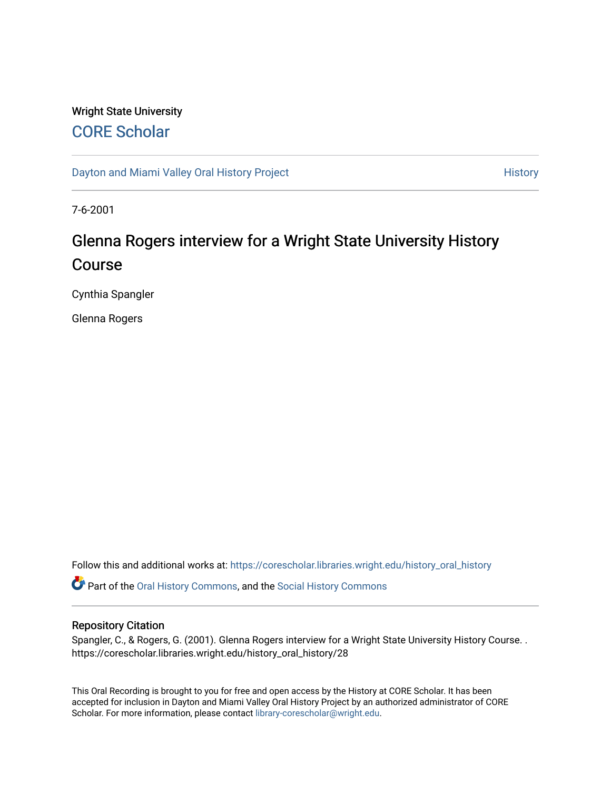## Wright State University [CORE Scholar](https://corescholar.libraries.wright.edu/)

[Dayton and Miami Valley Oral History Project](https://corescholar.libraries.wright.edu/history_oral_history) **History** History

7-6-2001

# Glenna Rogers interview for a Wright State University History Course

Cynthia Spangler

Glenna Rogers

Follow this and additional works at: [https://corescholar.libraries.wright.edu/history\\_oral\\_history](https://corescholar.libraries.wright.edu/history_oral_history?utm_source=corescholar.libraries.wright.edu%2Fhistory_oral_history%2F28&utm_medium=PDF&utm_campaign=PDFCoverPages) 

Part of the [Oral History Commons](http://network.bepress.com/hgg/discipline/1195?utm_source=corescholar.libraries.wright.edu%2Fhistory_oral_history%2F28&utm_medium=PDF&utm_campaign=PDFCoverPages), and the [Social History Commons](http://network.bepress.com/hgg/discipline/506?utm_source=corescholar.libraries.wright.edu%2Fhistory_oral_history%2F28&utm_medium=PDF&utm_campaign=PDFCoverPages)

#### Repository Citation

Spangler, C., & Rogers, G. (2001). Glenna Rogers interview for a Wright State University History Course. . https://corescholar.libraries.wright.edu/history\_oral\_history/28

This Oral Recording is brought to you for free and open access by the History at CORE Scholar. It has been accepted for inclusion in Dayton and Miami Valley Oral History Project by an authorized administrator of CORE Scholar. For more information, please contact [library-corescholar@wright.edu](mailto:library-corescholar@wright.edu).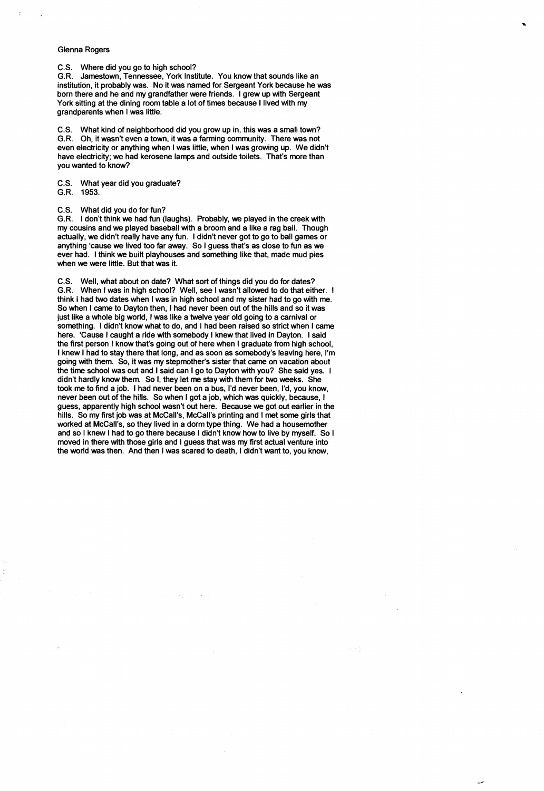#### Glenna Rogers

C.S. Where did you go to high school?

G.R. Jamestown, Tennessee, York Institute. You know that sounds like an institution, it probably was. No it was named for Sergeant York because he was born there and he and my grandfather were friends. I grew up with Sergeant York sitting at the dining room table a lot of times because I lived with my grandparents when I was little.

C.S. What kind of neighborhood did you grow up in, this was a small town? G.R. Oh, it wasn't even a town, it was a farming community. There was not even electricity or anything when I was little, when I was growing up. We didn't have electricity; we had kerosene lamps and outside toilets. That's more than you wanted to know?

C.S. What year did you graduate?

G.R. 1953.

C.S. What did you do for fun?

G.R. I don't think we had fun (laughs). Probably, we played in the creek with my cousins and we played baseball with a broom and a like a rag ball. Though actually, we didn't really have any fun. I didn't never got to go to ball games or anything 'cause we lived too far away. So I guess that's as close to fun as we ever had. I think we built playhouses and something like that, made mud pies when we were little. But that was it.

C.S. Well, what about on date? What sort of things did you do for dates? G.R. When I was in high school? Well, see I wasn't allowed to do that either. I think I had two dates when I was in high school and my sister had to go with me. So when I came to Dayton then, I had never been out of the hills and so it was just like a whole big world, I was like a twelve year old going to a carnival or something. I didn't know what to do, and I had been raised so strict when I came here. 'Cause I caught a ride with somebody I knew that lived in Dayton. I said the first person I know that's going out of here when I graduate from high school, I knew I had to stay there that long, and as soon as somebody's leaving here, I'm going with them. So, it was my stepmother's sister that came on vacation about the time school was out and I said can I go to Dayton with you? She said yes. I didn't hardly know them. So I, they let me stay with them for two weeks. She took me to find a job. I had never been on a bus, I'd never been, I'd, you know, never been out of the hills. So when I got a job, which was quickly, because, I guess, apparently high school wasn't out here. Because we got out earlier in the hills. So my first job was at McCall's, McCall's printing and I met some girls that worked at McCall's, so they lived in a dorm type thing. We had a housemother and so I knew I had to go there because I didn't know how to live by myself. So I moved in there with those girls and I guess that was my first actual venture into the world was then. And then I was scared to death, I didn't want to, you know,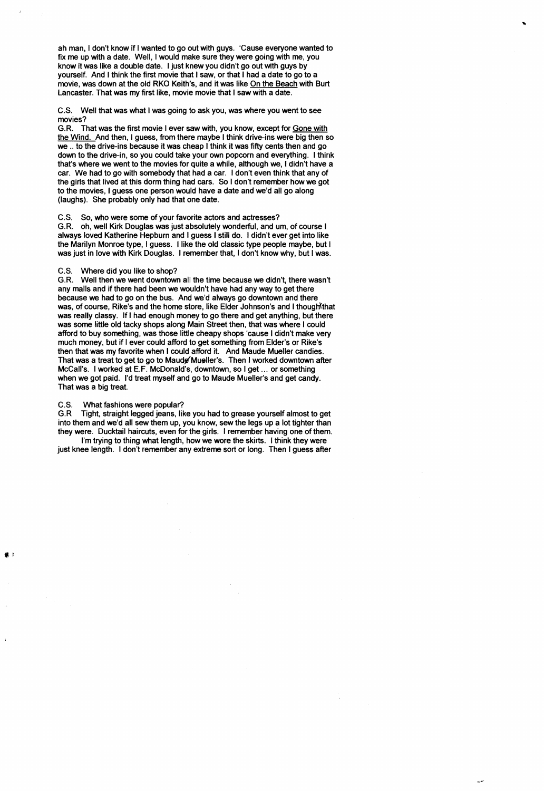ah man, I don't know if I wanted to go out with guys. 'Cause everyone wanted to fix me up with a date. Well, I would make sure they were going with me, you know it was like a double date. I just knew you didn't go out with guys by yourself. And I think the first movie that I saw, or that I had a date to go to a movie, was down at the old RKO Keith's, and it was like On the Beach with Burt lancaster. That was my first like, movie movie that I saw with a date.

C.S. Well that was what I was going to ask you, was where you went to see movies?

G.R. That was the first movie I ever saw with, you know, except for Gone with the Wind. And then, I guess, from there maybe I think drive-ins were big then so we .. to the drive-ins because it was cheap I think it was fifty cents then and go down to the drive-in, so you could take your own popcorn and everything. I think that's where we went to the movies for quite a while, although we, I didn't have a car. We had to go with somebody that had a car. I don't even think that any of the girls that lived at this dorm thing had cars. So I don't remember how we got to the movies, I guess one person would have a date and we'd all go along (laughs). She probably only had that one date.

C.S. So, who were some of your favorite actors and actresses?

G.R. oh, well Kirk Douglas was just absolutely wonderful, and um, of course I always loved Katherine Hepburn and I guess I still do. I didn't ever get into like the Marilyn Monroe type, I guess. I like the old classic type people maybe, but I was just in love with Kirk Douglas. I remember that, I don't know why, but I was.

C.S. Where did you like to shop?

G.R. Well then we went downtown all the time because we didn't, there wasn't any malls and if there had been we wouldn't have had any way to get there because we had to go on the bus. And we'd always go downtown and there was, of course, Rike's and the home store, like Elder Johnson's and I thought that was really classy. If I had enough money to go there and get anything, but there was some little old tacky shops along Main Street then, that was where I could afford to buy something, was those little cheapy shops 'cause I didn't make very much money, but if I ever could afford to get something from Elder's or Rike's then that was my favorite when I could afford it. And Maude Mueller candies. That was a treat to get to go to Maude Mueller's. Then I worked downtown after McCall's. I worked at E.F. McDonald's, downtown, so I get ... or something when we got paid. I'd treat myself and go to Maude Mueller's and get candy. That was a big treat.

### C.S. What fashions were popular?

G.R Tight, straight legged jeans, like you had to grease yourself almost to get into them and we'd all sew them up, you know, sew the legs up a lot tighter than they were. Ducktail haircuts, even for the girls. I remember having one of them.

I'm trying to thing what length, how we wore the skirts. I think they were just knee length. I don't remember any extreme sort or long. Then I guess after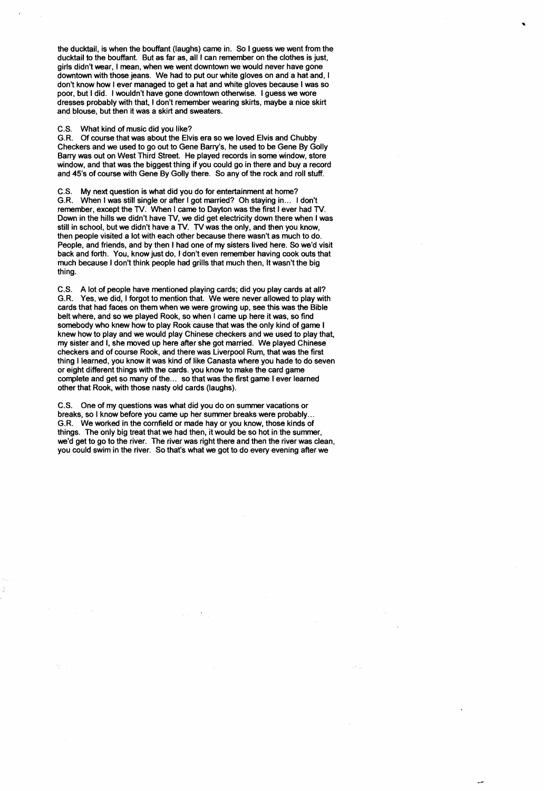the ducktail, is when the bouffant (laughs) came in. So I guess we went from the ducktail to the bouffant. But as far as, all I can remember on the clothes is just, girls didn't wear, I mean, when we went downtown we would never have gone downtown with those jeans. We had to put our white gloves on and a hat and, I don't know how I ever managed to get a hat and white gloves because I was so poor, but I did. I wouldn't have gone downtown otherwise. I guess we wore dresses probably with that, I don't remember wearing skirts, maybe a nice skirt and blouse, but then it was a skirt and sweaters.

#### C.S. What kind of music did you like?

G.R. Of course that was about the Elvis era so we loved Elvis and Chubby Checkers and we used to go out to Gene Barry's, he used to be Gene By Golly Barry was out on West Third Street. He played records in some window, store window, and that was the biggest thing if you could go in there and buy a record and 45's of course with Gene By Golly there. So any of the rock and roll stuff.

C.S. My next question is what did you do for entertainment at home?

G.R. When I was still single or after I got married? Oh staying in... I don't remember, except the TV. When I came to Dayton was the first I ever had TV. Down in the hills we didn't have TV, we did get electricity down there when I was still in school, but we didn't have a TV. TV was the only, and then you know, then people visited a lot with each other because there wasn't as much to do. People, and friends, and by then I had one of my sisters lived here. So we'd visit back and forth. You, know just do, I don't even remember having cook outs that much because I don't think people had grills that much then, It wasn't the big thing.

C.S. A lot of people have mentioned playing cards; did you play cards at all? G.R. Yes, we did, I forgot to mention that. We were never allowed to play with cards that had faces on them when we were growing up, see this was the Bible belt where, and so we played Rook, so when I came up here it was, so find somebody who knew how to play Rook cause that was the only kind of game I knew how to play and we would play Chinese checkers and we used to play that, my sister and I, she moved up here after she got married. We played Chinese checkers and of course Rook, and there was Liverpool Rum, that was the first thing I learned, you know it was kind of like Canasta where you hade to do seven or eight different things with the cards. you know to make the card game complete and get so many of the... so that was the first game I ever learned other that Rook, with those nasty old cards (laughs).

C.S. One of my questions was what did you do on summer vacations or breaks, so I know before you came up her summer breaks were probably ... G.R. We worked in the cornfield or made hay or you know, those kinds of things. The only big treat that we had then, it would be so hot in the summer, we'd get to go to the river. The river was right there and then the river was clean, you could swim in the river. So that's what we got to do every evening after we